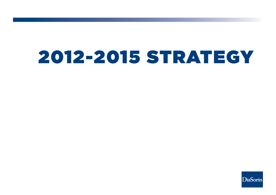# 2012-2015 STRATEGY

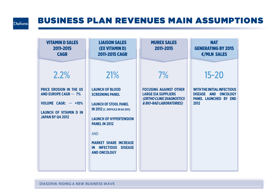#### $DiaSorin$

## BUSINESS PLAN REVENUES MAIN ASSUMPTIONS

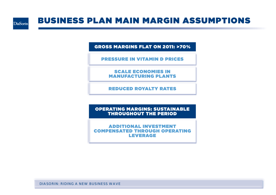

## BUSINESS PLAN MAIN MARGIN ASSUMPTIONS

GROSS MARGINS FLAT ON 2011: >70%

PRESSURE IN VITAMIN D PRICES

SCALE ECONOMIES IN MANUFACTURING PLANTS

REDUCED ROYALTY RATES

OPERATING MARGINS: SUSTAINABLE THROUGHOUT THE PERIOD

ADDITIONAL INVESTMENT COMPENSATED THROUGH OPERATING LEVERAGE

DIASORIN: RIDING A NEW BUSINESS WAVE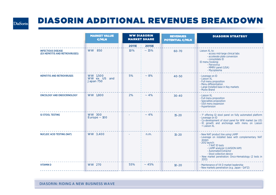#### DiaSorin

## DIASORIN ADDITIONAL REVENUES BREAKDOWN

|                                                              | <b>MARKET VALUE</b><br>€/MLN          | <b>WW DIASORIN</b><br><b>MARKET SHARE</b> |              | <b>REVENUES</b><br><b>POTENTIAL €/MLN</b> | <b>DIASORIN STRATEGY</b>                                                                                                                                                                                                                                                                           |
|--------------------------------------------------------------|---------------------------------------|-------------------------------------------|--------------|-------------------------------------------|----------------------------------------------------------------------------------------------------------------------------------------------------------------------------------------------------------------------------------------------------------------------------------------------------|
|                                                              |                                       | <b>2011E</b>                              | <b>2015E</b> |                                           |                                                                                                                                                                                                                                                                                                    |
| <b>INFECTIOUS DISEASE</b><br>(EX HEPATITIS AND RETROVIRUSES) | <b>WW 850</b>                         | 10%                                       | ~15%         | 60-70                                     | Liaison XL to:<br>- access mid-large clinical labs<br>- accelerate plate conversion<br>- consolidate ID<br>ID menu hooking:<br>- Parvovirus<br>- MMRV panel (USA)<br>- Mycoplasma                                                                                                                  |
| <b>HEPATITIS AND RETROVIRUSES</b>                            | WW 1,500<br>WW ex US and<br>Japan 750 | 5%                                        | ~18%         | 40-50                                     | - Leverage on ID<br>- Liaison XL<br>- Full menu proposition<br>- Menu differentiation<br>- Large Installed base in Key markets<br>- Murex Brand                                                                                                                                                    |
| <b>ONCOLOGY AND ENDOCRINOLOGY</b>                            | WW 1,800                              | 2%                                        | $-4%$        | $30 - 40$                                 | - Liaison XL<br>- Full menu proposition<br>- Specialties proposition<br>- USA menu expansion<br>- Hypertension                                                                                                                                                                                     |
| <b>GI STOOL TESTING</b>                                      | <b>WW 300</b><br>Europe $\sim$ 100    |                                           | $-4%$        | $15 - 20$                                 | - 1st offering GI stool panel on fully automated platform<br>- Leverage on ID<br>- Co-development of stool panel for WW market (ex US)<br>- ID growth and anchorage with menu on Liaison<br>+ Liaison XL                                                                                           |
| <b>NUCLEIC ACID TESTING (NAT)</b>                            | WW 3,400                              |                                           | n.m.         | $15 - 20$                                 | - New NAT product line using LAMP<br>- Leverage on installed base with complementary NAT<br>assays<br>$-2012$ launch:<br>- 7 NAT ID tests<br>- LAMP analyzer (LIAISION IAM)<br>- Automated Extractor<br>- Stool collection device<br>- New market penetration: Onco-Hematology (2 tests in<br>2013 |
| <b>VITAMIND</b>                                              | <b>WW 270</b>                         | 55%                                       | $-45%$       | $10 - 20$                                 | - Maintenance of Vit D market leadership<br>- New markets penetration (e.g. Japan - Q4'12)                                                                                                                                                                                                         |

DIASORIN: RIDING A NEW BUSINESS WAVE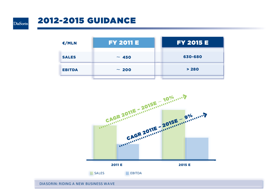

## 2012-2015 GUIDANCE

| €/MLN         | <b>FY 2011 E</b> | <b>FY 2015 E</b> |
|---------------|------------------|------------------|
| <b>SALES</b>  | $\sim 450$       | 630-680          |
| <b>EBITDA</b> | $\sim 200$       | > 280            |
|               |                  |                  |



DIASORIN: RIDING A NEW BUSINESS WAVE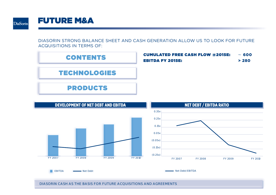

### FUTURE M&A

DIASORIN STRONG BALANCE SHEET AND CASH GENERATION ALLOW US TO LOOK FOR FUTURE ACQUISITIONS IN TERMS OF:





DIASORIN CASH AS THE BASIS FOR FUTURE ACQUISITIONS AND AGREEMENTS